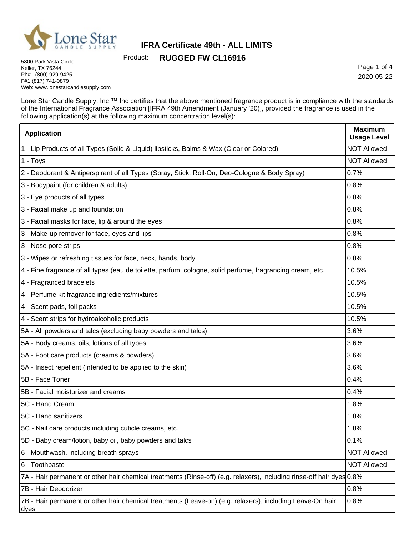

Product: **RUGGED FW CL16916**

5800 Park Vista Circle Keller, TX 76244 Ph#1 (800) 929-9425 F#1 (817) 741-0879 Web: www.lonestarcandlesupply.com

Ē

Page 1 of 4 2020-05-22

٦

Lone Star Candle Supply, Inc.™ Inc certifies that the above mentioned fragrance product is in compliance with the standards of the International Fragrance Association [IFRA 49th Amendment (January '20)], provided the fragrance is used in the following application(s) at the following maximum concentration level(s):

| <b>Application</b>                                                                                                    | <b>Maximum</b><br><b>Usage Level</b> |
|-----------------------------------------------------------------------------------------------------------------------|--------------------------------------|
| 1 - Lip Products of all Types (Solid & Liquid) lipsticks, Balms & Wax (Clear or Colored)                              | <b>NOT Allowed</b>                   |
| 1 - Toys                                                                                                              | <b>NOT Allowed</b>                   |
| 2 - Deodorant & Antiperspirant of all Types (Spray, Stick, Roll-On, Deo-Cologne & Body Spray)                         | 0.7%                                 |
| 3 - Bodypaint (for children & adults)                                                                                 | 0.8%                                 |
| 3 - Eye products of all types                                                                                         | 0.8%                                 |
| 3 - Facial make up and foundation                                                                                     | 0.8%                                 |
| 3 - Facial masks for face, lip & around the eyes                                                                      | 0.8%                                 |
| 3 - Make-up remover for face, eyes and lips                                                                           | 0.8%                                 |
| 3 - Nose pore strips                                                                                                  | 0.8%                                 |
| 3 - Wipes or refreshing tissues for face, neck, hands, body                                                           | 0.8%                                 |
| 4 - Fine fragrance of all types (eau de toilette, parfum, cologne, solid perfume, fragrancing cream, etc.             | 10.5%                                |
| 4 - Fragranced bracelets                                                                                              | 10.5%                                |
| 4 - Perfume kit fragrance ingredients/mixtures                                                                        | 10.5%                                |
| 4 - Scent pads, foil packs                                                                                            | 10.5%                                |
| 4 - Scent strips for hydroalcoholic products                                                                          | 10.5%                                |
| 5A - All powders and talcs (excluding baby powders and talcs)                                                         | 3.6%                                 |
| 5A - Body creams, oils, lotions of all types                                                                          | 3.6%                                 |
| 5A - Foot care products (creams & powders)                                                                            | 3.6%                                 |
| 5A - Insect repellent (intended to be applied to the skin)                                                            | 3.6%                                 |
| 5B - Face Toner                                                                                                       | 0.4%                                 |
| 5B - Facial moisturizer and creams                                                                                    | 0.4%                                 |
| 5C - Hand Cream                                                                                                       | 1.8%                                 |
| 5C - Hand sanitizers                                                                                                  | 1.8%                                 |
| 5C - Nail care products including cuticle creams, etc.                                                                | 1.8%                                 |
| 5D - Baby cream/lotion, baby oil, baby powders and talcs                                                              | 0.1%                                 |
| 6 - Mouthwash, including breath sprays                                                                                | <b>NOT Allowed</b>                   |
| 6 - Toothpaste                                                                                                        | <b>NOT Allowed</b>                   |
| 7A - Hair permanent or other hair chemical treatments (Rinse-off) (e.g. relaxers), including rinse-off hair dyes 0.8% |                                      |
| 7B - Hair Deodorizer                                                                                                  | 0.8%                                 |
| 7B - Hair permanent or other hair chemical treatments (Leave-on) (e.g. relaxers), including Leave-On hair<br>dyes     | 0.8%                                 |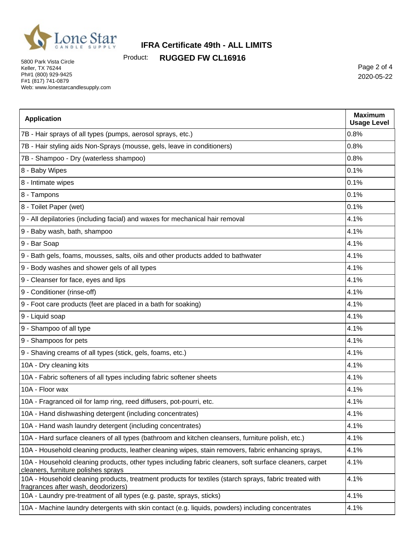

Product: **RUGGED FW CL16916**

5800 Park Vista Circle Keller, TX 76244 Ph#1 (800) 929-9425 F#1 (817) 741-0879 Web: www.lonestarcandlesupply.com

Page 2 of 4 2020-05-22

| <b>Application</b>                                                                                                                             | <b>Maximum</b><br><b>Usage Level</b> |
|------------------------------------------------------------------------------------------------------------------------------------------------|--------------------------------------|
| 7B - Hair sprays of all types (pumps, aerosol sprays, etc.)                                                                                    | 0.8%                                 |
| 7B - Hair styling aids Non-Sprays (mousse, gels, leave in conditioners)                                                                        | 0.8%                                 |
| 7B - Shampoo - Dry (waterless shampoo)                                                                                                         | 0.8%                                 |
| 8 - Baby Wipes                                                                                                                                 | 0.1%                                 |
| 8 - Intimate wipes                                                                                                                             | 0.1%                                 |
| 8 - Tampons                                                                                                                                    | 0.1%                                 |
| 8 - Toilet Paper (wet)                                                                                                                         | 0.1%                                 |
| 9 - All depilatories (including facial) and waxes for mechanical hair removal                                                                  | 4.1%                                 |
| 9 - Baby wash, bath, shampoo                                                                                                                   | 4.1%                                 |
| 9 - Bar Soap                                                                                                                                   | 4.1%                                 |
| 9 - Bath gels, foams, mousses, salts, oils and other products added to bathwater                                                               | 4.1%                                 |
| 9 - Body washes and shower gels of all types                                                                                                   | 4.1%                                 |
| 9 - Cleanser for face, eyes and lips                                                                                                           | 4.1%                                 |
| 9 - Conditioner (rinse-off)                                                                                                                    | 4.1%                                 |
| 9 - Foot care products (feet are placed in a bath for soaking)                                                                                 | 4.1%                                 |
| 9 - Liquid soap                                                                                                                                | 4.1%                                 |
| 9 - Shampoo of all type                                                                                                                        | 4.1%                                 |
| 9 - Shampoos for pets                                                                                                                          | 4.1%                                 |
| 9 - Shaving creams of all types (stick, gels, foams, etc.)                                                                                     | 4.1%                                 |
| 10A - Dry cleaning kits                                                                                                                        | 4.1%                                 |
| 10A - Fabric softeners of all types including fabric softener sheets                                                                           | 4.1%                                 |
| 10A - Floor wax                                                                                                                                | 4.1%                                 |
| 10A - Fragranced oil for lamp ring, reed diffusers, pot-pourri, etc.                                                                           | 4.1%                                 |
| 10A - Hand dishwashing detergent (including concentrates)                                                                                      | 4.1%                                 |
| 10A - Hand wash laundry detergent (including concentrates)                                                                                     | 4.1%                                 |
| 10A - Hard surface cleaners of all types (bathroom and kitchen cleansers, furniture polish, etc.)                                              | 4.1%                                 |
| 10A - Household cleaning products, leather cleaning wipes, stain removers, fabric enhancing sprays,                                            | 4.1%                                 |
| 10A - Household cleaning products, other types including fabric cleaners, soft surface cleaners, carpet<br>cleaners, furniture polishes sprays | 4.1%                                 |
| 10A - Household cleaning products, treatment products for textiles (starch sprays, fabric treated with<br>fragrances after wash, deodorizers)  | 4.1%                                 |
| 10A - Laundry pre-treatment of all types (e.g. paste, sprays, sticks)                                                                          | 4.1%                                 |
| 10A - Machine laundry detergents with skin contact (e.g. liquids, powders) including concentrates                                              | 4.1%                                 |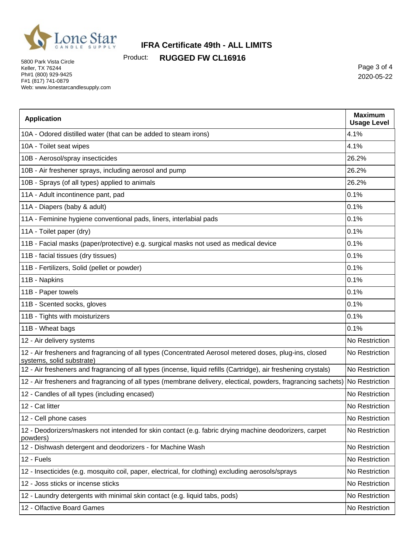

Product: **RUGGED FW CL16916**

5800 Park Vista Circle Keller, TX 76244 Ph#1 (800) 929-9425 F#1 (817) 741-0879 Web: www.lonestarcandlesupply.com

Page 3 of 4 2020-05-22

| <b>Application</b>                                                                                                                  | <b>Maximum</b><br><b>Usage Level</b> |
|-------------------------------------------------------------------------------------------------------------------------------------|--------------------------------------|
| 10A - Odored distilled water (that can be added to steam irons)                                                                     | 4.1%                                 |
| 10A - Toilet seat wipes                                                                                                             | 4.1%                                 |
| 10B - Aerosol/spray insecticides                                                                                                    | 26.2%                                |
| 10B - Air freshener sprays, including aerosol and pump                                                                              | 26.2%                                |
| 10B - Sprays (of all types) applied to animals                                                                                      | 26.2%                                |
| 11A - Adult incontinence pant, pad                                                                                                  | 0.1%                                 |
| 11A - Diapers (baby & adult)                                                                                                        | 0.1%                                 |
| 11A - Feminine hygiene conventional pads, liners, interlabial pads                                                                  | 0.1%                                 |
| 11A - Toilet paper (dry)                                                                                                            | 0.1%                                 |
| 11B - Facial masks (paper/protective) e.g. surgical masks not used as medical device                                                | 0.1%                                 |
| 11B - facial tissues (dry tissues)                                                                                                  | 0.1%                                 |
| 11B - Fertilizers, Solid (pellet or powder)                                                                                         | 0.1%                                 |
| 11B - Napkins                                                                                                                       | 0.1%                                 |
| 11B - Paper towels                                                                                                                  | 0.1%                                 |
| 11B - Scented socks, gloves                                                                                                         | 0.1%                                 |
| 11B - Tights with moisturizers                                                                                                      | 0.1%                                 |
| 11B - Wheat bags                                                                                                                    | 0.1%                                 |
| 12 - Air delivery systems                                                                                                           | No Restriction                       |
| 12 - Air fresheners and fragrancing of all types (Concentrated Aerosol metered doses, plug-ins, closed<br>systems, solid substrate) | No Restriction                       |
| 12 - Air fresheners and fragrancing of all types (incense, liquid refills (Cartridge), air freshening crystals)                     | No Restriction                       |
| 12 - Air fresheners and fragrancing of all types (membrane delivery, electical, powders, fragrancing sachets)                       | No Restriction                       |
| 12 - Candles of all types (including encased)                                                                                       | No Restriction                       |
| 12 - Cat litter                                                                                                                     | No Restriction                       |
| 12 - Cell phone cases                                                                                                               | No Restriction                       |
| 12 - Deodorizers/maskers not intended for skin contact (e.g. fabric drying machine deodorizers, carpet<br>powders)                  | No Restriction                       |
| 12 - Dishwash detergent and deodorizers - for Machine Wash                                                                          | No Restriction                       |
| 12 - Fuels                                                                                                                          | No Restriction                       |
| 12 - Insecticides (e.g. mosquito coil, paper, electrical, for clothing) excluding aerosols/sprays                                   | No Restriction                       |
| 12 - Joss sticks or incense sticks                                                                                                  | No Restriction                       |
| 12 - Laundry detergents with minimal skin contact (e.g. liquid tabs, pods)                                                          | No Restriction                       |
| 12 - Olfactive Board Games                                                                                                          | No Restriction                       |